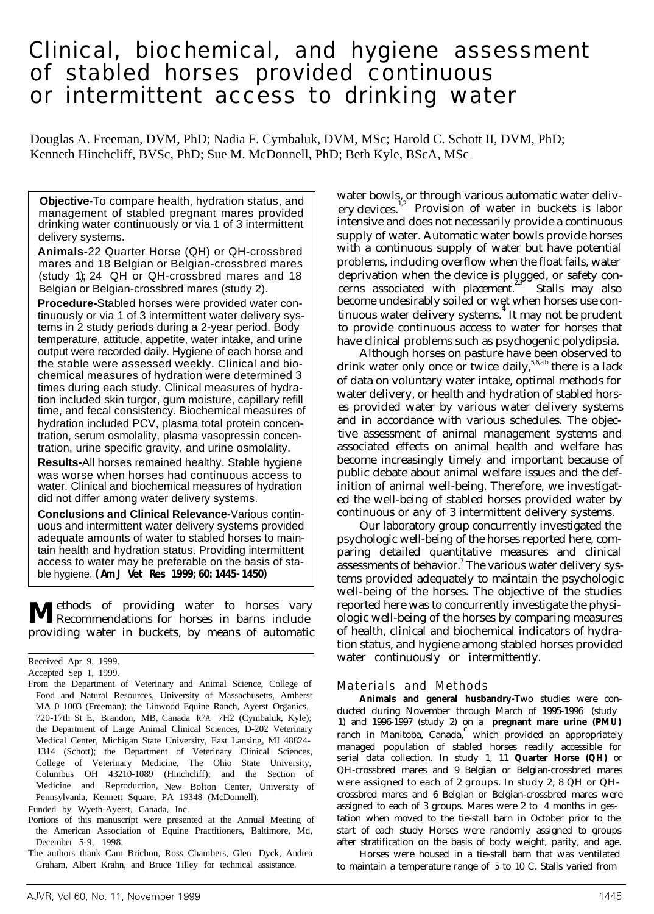# Clinical, biochemical, and hygiene assessment of stabled horses provided continuous or intermittent access to drinking water

Douglas A. Freeman, DVM, PhD; Nadia F. Cymbaluk, DVM, MSc; Harold C. Schott II, DVM, PhD; Kenneth Hinchcliff, BVSc, PhD; Sue M. McDonnell, PhD; Beth Kyle, BScA, MSc

**Objective-**To compare health, hydration status, and management of stabled pregnant mares provided drinking water continuously or via 1 of 3 intermittent delivery systems.

**Animals-**22 Quarter Horse (QH) or QH-crossbred mares and 18 Belgian or Belgian-crossbred mares (study 1); 24 QH or QH-crossbred mares and 18 Belgian or Belgian-crossbred mares (study 2).

**Procedure-**Stabled horses were provided water continuously or via 1 of 3 intermittent water delivery systems in 2 study periods during a 2-year period. Body temperature, attitude, appetite, water intake, and urine output were recorded daily. Hygiene of each horse and the stable were assessed weekly. Clinical and biochemical measures of hydration were determined 3 times during each study. Clinical measures of hydration included skin turgor, gum moisture, capillary refill time, and fecal consistency. Biochemical measures of hydration included PCV, plasma total protein concentration, serum osmolality, plasma vasopressin concentration, urine specific gravity, and urine osmolality.

**Results-**All horses remained healthy. Stable hygiene was worse when horses had continuous access to water. Clinical and biochemical measures of hydration did not differ among water delivery systems.

**Conclusions and Clinical Relevance-**Various continuous and intermittent water delivery systems provided adequate amounts of water to stabled horses to maintain health and hydration status. Providing intermittent access to water may be preferable on the basis of stable hygiene. *(Am J Vet Res 1999;60:1445-1450)*

**M**ethods of providing water to horses vary<br>Recommendations for horses in barns include providing water in buckets, by means of automatic

Funded by Wyeth-Ayerst, Canada, Inc.

water bowls, or through various automatic water delivery devices. $1/2$  Provision of water in buckets is labor intensive and does not necessarily provide a continuous supply of water. Automatic water bowls provide horses with a continuous supply of water but have potential problems, including overflow when the float fails, water deprivation when the device is plugged, or safety concerns associated with placement. Stalls may also become undesirably soiled or wet when horses use continuous water delivery systems. $^{4}$  It may not be prudent to provide continuous access to water for horses that have clinical problems such as psychogenic polydipsia.

Although horses on pasture have been observed to drink water only once or twice daily,  $5,6,a,b$  there is a lack of data on voluntary water intake, optimal methods for water delivery, or health and hydration of stabled horses provided water by various water delivery systems and in accordance with various schedules. The objective assessment of animal management systems and associated effects on animal health and welfare has become increasingly timely and important because of public debate about animal welfare issues and the definition of animal well-being. Therefore, we investigated the well-being of stabled horses provided water by continuous or any of 3 intermittent delivery systems.

Our laboratory group concurrently investigated the psychologic well-being of the horses reported here, comparing detailed quantitative measures and clinical  $\overline{\mathbf{a}}$  assessments of behavior.<sup>7</sup> The various water delivery systems provided adequately to maintain the psychologic well-being of the horses. The objective of the studies reported here was to concurrently investigate the physiologic well-being of the horses by comparing measures of health, clinical and biochemical indicators of hydration status, and hygiene among stabled horses provided water continuously or intermittently.

#### Materials and Methods

**Animals and general husbandry-**Two studies were conducted during November through March of 1995-1996 (study 1) and 1996-1997 (study 2) on a **pregnant mare urine (PMU)** ranch in Manitoba, Canada, $\int$ <sup>c</sup> which provided an appropriately managed population of stabled horses readily accessible for serial data collection. In study 1, 11 **Quarter Horse (QH)** or QH-crossbred mares and 9 Belgian or Belgian-crossbred mares were assigned to each of 2 groups. In study 2, 8 QH or QHcrossbred mares and 6 Belgian or Belgian-crossbred mares were assigned to each of 3 groups. Mares were 2 to 4 months in gestation when moved to the tie-stall barn in October prior to the start of each study Horses were randomly assigned to groups after stratification on the basis of body weight, parity, and age. Horses were housed in a tie-stall barn that was ventilated

to maintain a temperature range of 5 to 10 C. Stalls varied from

Received Apr 9, 1999.

Accepted Sep 1, 1999.

From the Department of Veterinary and Animal Science, College of Food and Natural Resources, University of Massachusetts, Amherst MA 0 1003 (Freeman); the Linwood Equine Ranch, Ayerst Organics, 720-17th St E, Brandon, MB, Canada R7A 7H2 (Cymbaluk, Kyle); the Department of Large Animal Clinical Sciences, D-202 Veterinary Medical Center, Michigan State University, East Lansing, MI 48824- 1314 (Schott); the Department of Veterinary Clinical Sciences, College of Veterinary Medicine, The Ohio State University, Columbus OH 43210-1089 (Hinchcliff); and the Section of Medicine and Reproduction, New Bolton Center, University of Pennsylvania, Kennett Square, PA 19348 (McDonnell).

Portions of this manuscript were presented at the Annual Meeting of the American Association of Equine Practitioners, Baltimore, Md, December 5-9, 1998.

The authors thank Cam Brichon, Ross Chambers, Glen Dyck, Andrea Graham, Albert Krahn, and Bruce Tilley for technical assistance.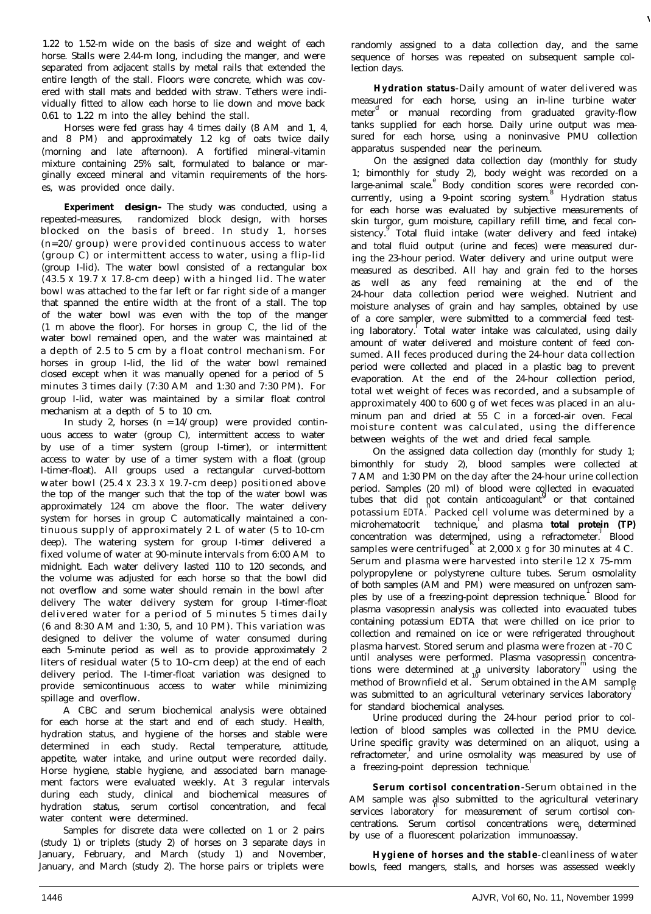1.22 to 1.52-m wide on the basis of size and weight of each horse. Stalls were 2.44-m long, including the manger, and were separated from adjacent stalls by metal rails that extended the entire length of the stall. Floors were concrete, which was covered with stall mats and bedded with straw. Tethers were individually fitted to allow each horse to lie down and move back 0.61 to 1.22 m into the alley behind the stall.

Horses were fed grass hay 4 times daily (8 AM and 1, 4, and 8 PM) and approximately 1.2 kg of oats twice daily (morning and late afternoon). A fortified mineral-vitamin mixture containing 25% salt, formulated to balance or marginally exceed mineral and vitamin requirements of the horses, was provided once daily.

**Experiment design-** The study was conducted, using a repeated-measures, randomized block design, with horses blocked on the basis of breed. In study 1, horses (n=20/group) were provided continuous access to water (group C) or intermittent access to water, using a flip-lid (group I-lid). The water bowl consisted of a rectangular box (43.5 x 19.7 x 17.8-cm deep) with a hinged lid. The water bowl was attached to the far left or far right side of a manger that spanned the entire width at the front of a stall. The top of the water bowl was even with the top of the manger (1 m above the floor). For horses in group C, the lid of the water bowl remained open, and the water was maintained at a depth of 2.5 to 5 cm by a float control mechanism. For horses in group I-lid, the lid of the water bowl remained closed except when it was manually opened for a period of 5 minutes 3 times daily (7:30 AM and 1:30 and 7:30 PM). For group I-lid, water was maintained by a similar float control mechanism at a depth of 5 to 10 cm.

In study 2, horses  $(n = 14/$ group) were provided continuous access to water (group C), intermittent access to water by use of a timer system (group I-timer), or intermittent access to water by use of a timer system with a float (group I-timer-float). All groups used a rectangular curved-bottom water bowl (25.4 x 23.3 x 19.7-cm deep) positioned above the top of the manger such that the top of the water bowl was approximately 124 cm above the floor. The water delivery system for horses in group C automatically maintained a continuous supply of approximately 2 L of water (5 to 10-cm deep). The watering system for group I-timer delivered a fixed volume of water at 90-minute intervals from 6:00 AM to midnight. Each water delivery lasted 110 to 120 seconds, and the volume was adjusted for each horse so that the bowl did not overflow and some water should remain in the bowl after delivery The water delivery system for group I-timer-float delivered water for a period of 5 minutes 5 times daily (6 and 8:30 AM and 1:30, 5, and 10 PM). This variation was designed to deliver the volume of water consumed during each 5-minute period as well as to provide approximately 2 liters of residual water (5 to 10-cm deep) at the end of each delivery period. The I-timer-float variation was designed to provide semicontinuous access to water while minimizing spillage and overflow.

A CBC and serum biochemical analysis were obtained for each horse at the start and end of each study. Health, hydration status, and hygiene of the horses and stable were determined in each study. Rectal temperature, attitude, appetite, water intake, and urine output were recorded daily. Horse hygiene, stable hygiene, and associated barn management factors were evaluated weekly. At 3 regular intervals during each study, clinical and biochemical measures of hydration status, serum cortisol concentration, and fecal water content were determined.

Samples for discrete data were collected on 1 or 2 pairs (study 1) or triplets (study 2) of horses on 3 separate days in January, February, and March (study 1) and November, January, and March (study 2). The horse pairs or triplets were

randomly assigned to a data collection day, and the same sequence of horses was repeated on subsequent sample collection days.

**Hydration status**-Daily amount of water delivered was measured for each horse, using an in-line turbine water meter<sup>d</sup> or manual recording from graduated gravity-flow tanks supplied for each horse. Daily urine output was measured for each horse, using a noninvasive PMU collection apparatus suspended near the perineum.

On the assigned data collection day (monthly for study 1; bimonthly for study 2), body weight was recorded on a large-animal scale.<sup>e</sup> Body condition scores were recorded concurrently, using a 9-point scoring system.<sup>8</sup> Hydration status for each horse was evaluated by subjective measurements of skin turgor, gum moisture, capillary refill time, and fecal consistency. Total fluid intake (water delivery and feed intake) and total fluid output (urine and feces) were measured during the 23-hour period. Water delivery and urine output were measured as described. All hay and grain fed to the horses as well as any feed remaining at the end of the 24-hour data collection period were weighed. Nutrient and moisture analyses of grain and hay samples, obtained by use of a core sampler, were submitted to a commercial feed testing laboratory.<sup>f</sup> Total water intake was calculated, using daily amount of water delivered and moisture content of feed consumed. All feces produced during the 24-hour data collection period were collected and placed in a plastic bag to prevent evaporation. At the end of the 24-hour collection period, total wet weight of feces was recorded, and a subsample of approximately 400 to 600 g of wet feces was placed in an aluminum pan and dried at 55 C in a forced-air oven. Fecal moisture content was calculated, using the difference between weights of the wet and dried fecal sample.

On the assigned data collection day (monthly for study 1; bimonthly for study 2), blood samples were collected at 7 AM and 1:30 PM on the day after the 24-hour urine collection period. Samples (20 ml) of blood were collected in evacuated tubes that did not contain anticoagulant<sup> $\beta$ </sup> or that contained potassium EDTA. Packed cell volume was determined by a microhematocrit technique,<sup>1</sup> and plasma **total protein (TP)** concentration was determined, using a refractometer. Blood  $s$  samples were centrifuged at 2,000 x g for 30 minutes at 4 C. Serum and plasma were harvested into sterile 12 x 75-mm polypropylene or polystyrene culture tubes. Serum osmolality of both samples (AM and PM) were measured on unfrozen samples by use of a freezing-point depression technique. Blood for plasma vasopressin analysis was collected into evacuated tubes containing potassium EDTA that were chilled on ice prior to collection and remained on ice or were refrigerated throughout plasma harvest. Stored serum and plasma were frozen at -70 C until analyses were performed. Plasma vasopressin concentrations were determined at  $a$  university laboratory using the method of Brownfield et al.<sup>16</sup> and stationary interesting and sample was submitted to an agricultural veterinary services laboratory for standard biochemical analyses.

Urine produced during the 24-hour period prior to collection of blood samples was collected in the PMU device. Urine specific gravity was determined on an aliquot, using a refractometer, and urine osmolality was measured by use of a freezing-point depression technique.

**Serum cortisol concentration**-Serum obtained in the AM sample was also submitted to the agricultural veterinary services laboratory for measurement of serum cortisol concentrations. Serum cortisol concentrations were determined by use of a fluorescent polarization immunoassay.

**Hygiene of horses and the stable**-cleanliness of water bowls, feed mangers, stalls, and horses was assessed weekly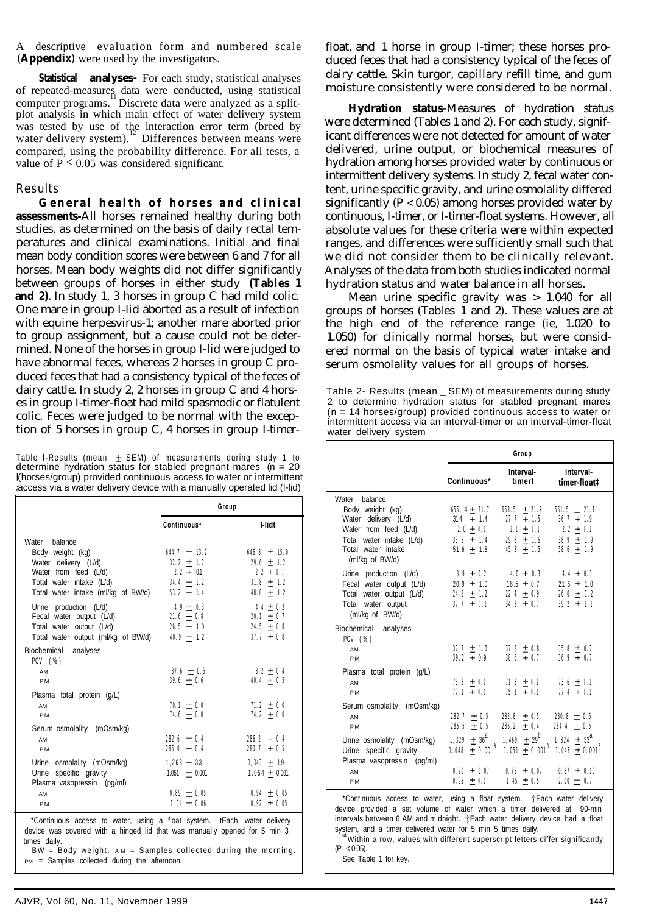A descriptive evaluation form and numbered scale (**Appendix**) were used by the investigators.

**Statistical analyses-** For each study, statistical analyses of repeated-measures data were conducted, using statistical computer programs. Discrete data were analyzed as a splitplot analysis in which main effect of water delivery system was tested by use of the interaction error term (breed by water delivery system).<sup>12</sup> Differences between means were compared, using the probability difference. For all tests, a value of  $P \le 0.05$  was considered significant.

#### Results

**General health of horses and clinical assessments-**All horses remained healthy during both studies, as determined on the basis of daily rectal temperatures and clinical examinations. Initial and final mean body condition scores were between 6 and 7 for all horses. Mean body weights did not differ significantly between groups of horses in either study **(Tables 1 and 2)**. In study 1, 3 horses in group C had mild colic. One mare in group I-lid aborted as a result of infection with equine herpesvirus-1; another mare aborted prior to group assignment, but a cause could not be determined. None of the horses in group I-lid were judged to have abnormal feces, whereas 2 horses in group C produced feces that had a consistency typical of the feces of dairy cattle. In study 2, 2 horses in group C and 4 horses in group I-timer-float had mild spasmodic or flatulent colic. Feces were judged to be normal with the exception of 5 horses in group C, 4 horses in group I-timer-

Table I-Results (mean  $\pm$  SEM) of measurements during study 1 to determine hydration status for stabled pregnant mares  $(n = 20)$ (horses/group) provided continuous access to water or intermittent access via a water delivery device with a manually operated lid (l-lid)

|                                                                                                                                                      |                                                                                     | Group                                                                             |
|------------------------------------------------------------------------------------------------------------------------------------------------------|-------------------------------------------------------------------------------------|-----------------------------------------------------------------------------------|
|                                                                                                                                                      | Continuous*                                                                         | I-lidt                                                                            |
| Water balance<br>Body weight (kg)<br>Water delivery (L/d)<br>Water from feed (L/d)<br>Total water intake (L/d)<br>Total water intake (ml/kg of BW/d) | 644.7 $\pm$ 13.2<br>$32.2 + 1.2$<br>$2.2 + 0.1$<br>$34.4 \pm 1.2$<br>53.2 $\pm$ 1.4 | $646.8 + 15.0$<br>$29.6 + 1.2$<br>$2.2 + 0.1$<br>$31.8 \pm 1.2$<br>48.8 $\pm$ 1.2 |
| Urine production (L/d)<br>Fecal water output (L/d)<br>Total water output (L/d)<br>Total water output (ml/kg of BW/d)                                 | $4.9 \pm 0.3$<br>$21.6 + 0.8$<br>$26.5 \pm 1.0$<br>$40.9 + 1.2$                     | $4.4 \pm 0.2$<br>$20.1 \pm 0.7$<br>24.5 $\pm$ 0.8<br>$37.7 \pm 0.8$               |
| Biochemical analyses<br>PCV (%)<br>AM<br><b>PM</b>                                                                                                   | $37.6 \pm 0.6$<br>$39.6 \pm 0.6$                                                    | $8.2 \pm 0.4$<br>$40.4 + 0.5$                                                     |
| Plasma total protein (g/L)<br>AM<br><b>PM</b>                                                                                                        | $70.1 \pm 0.0$<br>$74.6 + 0.0$                                                      | $71.2 + 0.0$<br>74.2 $\pm$ 0.0                                                    |
| Serum osmolality (mOsm/kg)<br>AM<br><b>PM</b>                                                                                                        | $282.6 + 0.4$<br>$286.0 \pm 0.4$                                                    | $286.2 + 0.4$<br>280.7 $\pm$ 0.5                                                  |
| Urine osmolality (mOsm/kg)<br>Urine specific gravity<br>Plasma vasopressin (pq/ml)                                                                   | $1,263 \pm 33$<br>$1.051 \pm 0.001$                                                 | $1,343 \pm 19$<br>$1.054 + 0.001$                                                 |
| AM<br><b>PM</b>                                                                                                                                      | $0.89 + 0.05$<br>$1.01 \pm 0.06$                                                    | $0.94 \pm 0.05$<br>$0.92 \pm 0.05$                                                |
| *Continuous access to water, using a float system. tEach water delivery                                                                              |                                                                                     |                                                                                   |

device was covered with a hinged lid that was manually opened for 5 min 3 times daily.

BW = Body weight. AM = Samples collected during the morning PM = Samples collected during the afternoon.

float, and 1 horse in group I-timer; these horses produced feces that had a consistency typical of the feces of dairy cattle. Skin turgor, capillary refill time, and gum moisture consistently were considered to be normal.

**Hydration status**-Measures of hydration status were determined (Tables 1 and 2). For each study, significant differences were not detected for amount of water delivered, urine output, or biochemical measures of hydration among horses provided water by continuous or intermittent delivery systems. In study 2, fecal water content, urine specific gravity, and urine osmolality differed significantly ( $P < 0.05$ ) among horses provided water by continuous, I-timer, or I-timer-float systems. However, all absolute values for these criteria were within expected ranges, and differences were sufficiently small such that we did not consider them to be clinically relevant. Analyses of the data from both studies indicated normal hydration status and water balance in all horses.

Mean urine specific gravity was > 1.040 for all groups of horses (Tables 1 and 2). These values are at the high end of the reference range (ie, 1.020 to 1.050) for clinically normal horses, but were considered normal on the basis of typical water intake and serum osmolality values for all groups of horses.

Table 2- Results (mean  $\pm$  SEM) of measurements during study 2 to determine hydration status for stabled pregnant mares (n = 14 horses/group) provided continuous access to water or intermittent access via an interval-timer or an interval-timer-float water delivery system

|                                                                                                                                                           | Group                                                                                          |                                                                                       |                                                                                                     |
|-----------------------------------------------------------------------------------------------------------------------------------------------------------|------------------------------------------------------------------------------------------------|---------------------------------------------------------------------------------------|-----------------------------------------------------------------------------------------------------|
|                                                                                                                                                           | Continuous*                                                                                    | Interval-<br>timert                                                                   | Interval-<br>timer-float1                                                                           |
| Water balance<br>Body weight (kg)<br>Water delivery (L/d)<br>Water from feed $(L/d)$<br>Total water intake (L/d)<br>Total water intake<br>(ml/kg of BW/d) | $655.4 + 21.7$<br>$31.4 \pm 1.4$<br>$2.0 + 0.1$<br>$33.5 \pm 1.4$<br>$51.6 \pm 1.8$            | $653.5 + 21.9$<br>$27.7 \pm 1.5$<br>$2.1 \pm 0.1$<br>$29.8 \pm 1.6$<br>$45.3 \pm 1.5$ | $661.5 + 21.1$<br>$36.7 + 1.9$<br>$2.2 + 0.1$<br>$38.9 \pm 1.9$<br>$58.6 + 1.9$                     |
| Urine production $(L/d)$<br>Fecal water output (L/d)<br>Total water output (L/d)<br>Total water output<br>(ml/kg of BW/d)                                 | $3.9 + 0.2$<br>$20.9 \pm 1.0$<br>$24.8 \pm 1.2$<br>$37.7 \pm 1.1$                              | $4.0 \pm 0.3$<br>$18.5 \pm 0.7$<br>$22.4 + 0.9$<br>$34.3 \pm 0.7$                     | $4.4 \pm 0.3$<br>$21.6 \pm 1.0$<br>$26.0 \pm 1.2$<br>$39.2 \pm 1.1$                                 |
| Biochemical<br>analyses<br>$PCV$ $(\%)$<br>AM<br><b>PM</b>                                                                                                | $37.7 \pm 1.0$<br>$39.2 \pm 0.9$                                                               | $37.8 + 0.8$<br>$38.6 \pm 0.7$                                                        | $35.8 \pm 0.7$<br>$36.9 \pm 0.7$                                                                    |
| Plasma total protein (g/L)<br>AM<br><b>PM</b>                                                                                                             | $73.8 \pm 0.1$<br>$77.1 + 0.1$                                                                 | $71.8 + 0.1$<br>$75.1 \pm 0.1$                                                        | 73.6 $\pm$ 0.1<br>77.4 $\pm$ 0.1                                                                    |
| Serum osmolality (mOsm/kg)<br>AM<br><b>PM</b>                                                                                                             | $282.7 + 0.5$<br>$285.5 \pm 0.5$                                                               | $282.8 \pm 0.5$<br>$285.2 \pm 0.4$                                                    | $280.8 + 0.6$<br>$284.4 + 0.6$                                                                      |
| Urine osmolality (mOsm/kg)<br>Urine specific gravity<br>Plasma vasopressin (pq/ml)<br>AM<br><b>PM</b>                                                     | 1, 329 $\pm 36^{\circ}$<br>1.048 $\pm$ 0.001 <sup>a</sup><br>$0.70 \pm 0.07$<br>$0.95 \pm 0.1$ | 1, 469 $\pm 29^b$<br>$1.051 + 0.001$<br>$0.75 + 0.07$<br>$1.45 \pm 0.5$               | 1, 324 $\pm$ 33 <sup>8</sup><br>1.048 $\pm$ 0.001 <sup>a</sup><br>$0.87 \pm 0.10$<br>$2.00 \pm 0.7$ |
|                                                                                                                                                           |                                                                                                |                                                                                       |                                                                                                     |

\*Continuous access to water, using a float system. +Each water delivery device provided a set volume of water which a timer delivered at 90-min intervals between 6 AM and midnight.  $E$ ach water delivery device had a float system, and a timer delivered water for 5 min 5 times daily.<br>abWithin a row, values with different superscript letters differ significantly

 $(P < 0.05)$ .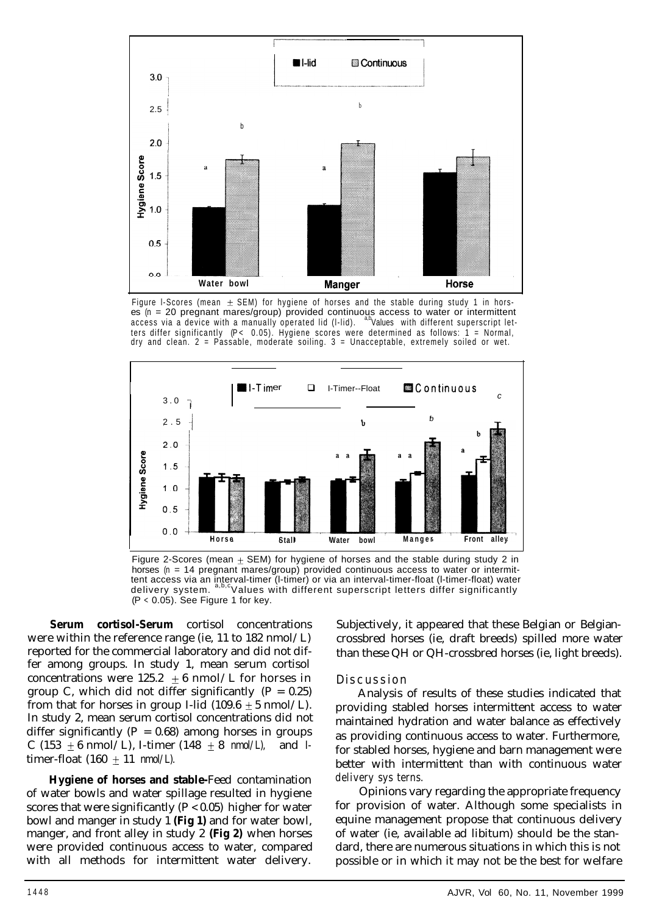

Figure I-Scores (mean  $\pm$  SEM) for hygiene of horses and the stable during study 1 in horses (n = 20 pregnant mares/group) provided continuous access to water or intermittent<br>access via a device with a manually operated lid (l-lid). <sup>ab</sup>Values with different superscript letters differ significantly  $(P < 0.05)$ . Hygiene scores were determined as follows: 1 = Normal, dry and clean. 2 = Passable, moderate soiling. 3 = Unacceptable, extremely soiled or wet.



Figure 2-Scores (mean  $\pm$  SEM) for hygiene of horses and the stable during study 2 in horses  $(n = 14$  pregnant mares/group) provided continuous access to water or intermittent access via an interval-timer (l-timer) or via an interval-timer-float (l-timer-float) water<br>delivery system. <sup>a,b,c</sup>Values with different superscript letters differ significantly  $(P < 0.05)$ . See Figure 1 for key.

**Serum cortisol-Serum** cortisol concentrations were within the reference range (ie, 11 to 182 nmol/L) reported for the commercial laboratory and did not differ among groups. In study 1, mean serum cortisol concentrations were  $125.2 \pm 6$  nmol/L for horses in group C, which did not differ significantly  $(P = 0.25)$ from that for horses in group I-lid  $(109.6 \pm 5 \text{ nmol/L})$ . In study 2, mean serum cortisol concentrations did not differ significantly ( $P = 0.68$ ) among horses in groups C (153  $\pm$  6 nmol/L), I-timer (148  $\pm$  8 nmol/L), and Itimer-float  $(160 + 11 \text{ nmol/L}).$ 

**Hygiene of horses and stable-**Feed contamination of water bowls and water spillage resulted in hygiene scores that were significantly  $(P < 0.05)$  higher for water bowl and manger in study 1 **(Fig 1)** and for water bowl, manger, and front alley in study 2 **(Fig 2)** when horses were provided continuous access to water, compared with all methods for intermittent water delivery.

Subjectively, it appeared that these Belgian or Belgiancrossbred horses (ie, draft breeds) spilled more water than these QH or QH-crossbred horses (ie, light breeds).

## Discussion

Analysis of results of these studies indicated that providing stabled horses intermittent access to water maintained hydration and water balance as effectively as providing continuous access to water. Furthermore, for stabled horses, hygiene and barn management were better with intermittent than with continuous water delivery sys terns.

Opinions vary regarding the appropriate frequency for provision of water. Although some specialists in equine management propose that continuous delivery of water (ie, available ad libitum) should be the standard, there are numerous situations in which this is not possible or in which it may not be the best for welfare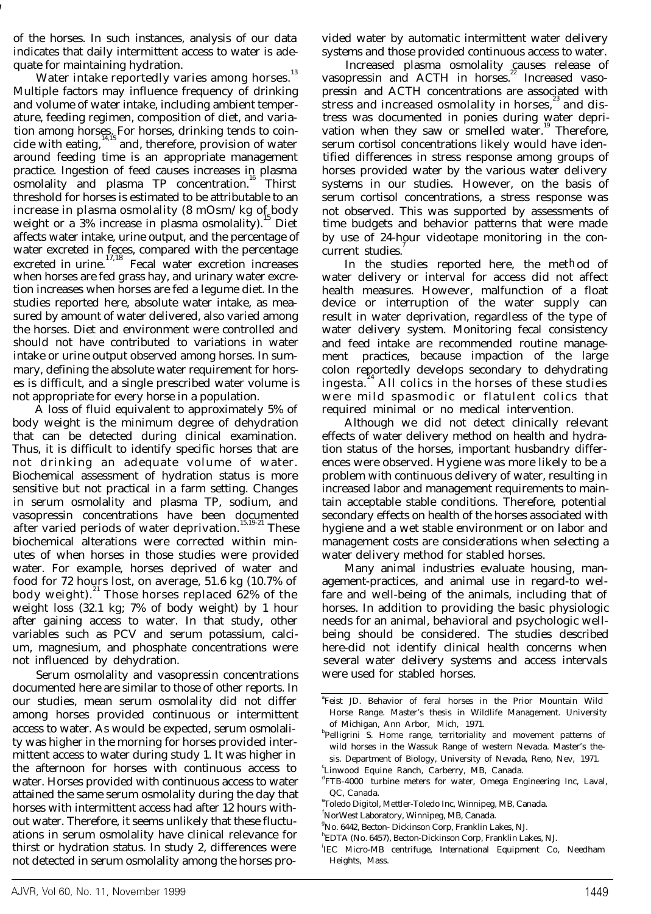of the horses. In such instances, analysis of our data indicates that daily intermittent access to water is adequate for maintaining hydration.

Water intake reportedly varies among horses.<sup>13</sup> Multiple factors may influence frequency of drinking and volume of water intake, including ambient temperature, feeding regimen, composition of diet, and variation among horses. For horses, drinking tends to coincide with eating, $14,15$  and, therefore, provision of water around feeding time is an appropriate management practice. Ingestion of feed causes increases in plasma osmolality and plasma TP concentration.<sup>16</sup> Thirst threshold for horses is estimated to be attributable to an increase in plasma osmolality (8 mOsm/kg of body weight or a  $3\%$  increase in plasma osmolality).<sup>15</sup> Diet affects water intake, urine output, and the percentage of water excreted in feces, compared with the percentage<br>excreted in urine.<sup>17,18</sup> Fecal water excretion increases when horses are fed grass hay, and urinary water excretion increases when horses are fed a legume diet. In the studies reported here, absolute water intake, as measured by amount of water delivered, also varied among the horses. Diet and environment were controlled and should not have contributed to variations in water intake or urine output observed among horses. In summary, defining the absolute water requirement for horses is difficult, and a single prescribed water volume is not appropriate for every horse in a population.

A loss of fluid equivalent to approximately 5% of body weight is the minimum degree of dehydration that can be detected during clinical examination. Thus, it is difficult to identify specific horses that are not drinking an adequate volume of water. Biochemical assessment of hydration status is more sensitive but not practical in a farm setting. Changes in serum osmolality and plasma TP, sodium, and vasopressin concentrations have been documented<br>after varied periods of water deprivation. These after varied periods of water deprivation.<sup>1</sup> biochemical alterations were corrected within minutes of when horses in those studies were provided water. For example, horses deprived of water and food for 72 hours lost, on average, 51.6 kg (10.7% of body weight). <sup>21</sup> Those horses replaced 62% of the weight loss (32.1 kg; 7% of body weight) by 1 hour after gaining access to water. In that study, other variables such as PCV and serum potassium, calcium, magnesium, and phosphate concentrations were not influenced by dehydration.

Serum osmolality and vasopressin concentrations documented here are similar to those of other reports. In our studies, mean serum osmolality did not differ among horses provided continuous or intermittent access to water. As would be expected, serum osmolality was higher in the morning for horses provided intermittent access to water during study 1. It was higher in the afternoon for horses with continuous access to water. Horses provided with continuous access to water attained the same serum osmolality during the day that horses with intermittent access had after 12 hours without water. Therefore, it seems unlikely that these fluctuations in serum osmolality have clinical relevance for thirst or hydration status. In study 2, differences were not detected in serum osmolality among the horses provided water by automatic intermittent water delivery systems and those provided continuous access to water.

Increased plasma osmolality causes release of<br>vasopressin and ACTH in horses.<sup>22</sup> Increased vasopressin and ACTH concentrations are associated with stress and increased osmolality in horses,<sup>23</sup> and distress was documented in ponies during water deprivation when they saw or smelled water.<sup>19</sup> Therefore, serum cortisol concentrations likely would have identified differences in stress response among groups of horses provided water by the various water delivery systems in our studies. However, on the basis of serum cortisol concentrations, a stress response was not observed. This was supported by assessments of time budgets and behavior patterns that were made by use of 24-hour videotape monitoring in the concurrent studies.

In the studies reported here, the met h od of water delivery or interval for access did not affect health measures. However, malfunction of a float device or interruption of the water supply can result in water deprivation, regardless of the type of water delivery system. Monitoring fecal consistency and feed intake are recommended routine management practices, because impaction of the large colon reportedly develops secondary to dehydrating ingesta.<sup>"</sup> All colics in the horses of these studies were mild spasmodic or flatulent colics that required minimal or no medical intervention.

Although we did not detect clinically relevant effects of water delivery method on health and hydration status of the horses, important husbandry differences were observed. Hygiene was more likely to be a problem with continuous delivery of water, resulting in increased labor and management requirements to maintain acceptable stable conditions. Therefore, potential secondary effects on health of the horses associated with hygiene and a wet stable environment or on labor and management costs are considerations when selecting a water delivery method for stabled horses.

Many animal industries evaluate housing, management-practices, and animal use in regard-to welfare and well-being of the animals, including that of horses. In addition to providing the basic physiologic needs for an animal, behavioral and psychologic wellbeing should be considered. The studies described here-did not identify clinical health concerns when several water delivery systems and access intervals were used for stabled horses.

a Feist JD. Behavior of feral horses in the Prior Mountain Wild Horse Range. Master's thesis in Wildlife Management. University of Michigan, Ann Arbor, Mich, 1971.

**Pelligrini S. Home range, territoriality and movement patterns of** wild horses in the Wassuk Range of western Nevada. Master's thesis. Department of Biology, University of Nevada, Reno, Nev, 1971.

c Linwood Equine Ranch, Carberry, MB, Canada.

d FTB-4000 turbine meters for water, Omega Engineering Inc, Laval, QC, Canada.

e Toledo Digitol, Mettler-Toledo Inc, Winnipeg, MB, Canada.

f NorWest Laboratory, Winnipeg, MB, Canada.

<sup>&</sup>lt;sup>8</sup>No. 6442, Becton- Dickinson Corp, Franklin Lakes, NJ.

h EDTA (No. 6457), Becton-Dickinson Corp, Franklin Lakes, NJ.

i IEC Micro-MB centrifuge, International Equipment Co, Needham Heights, Mass.